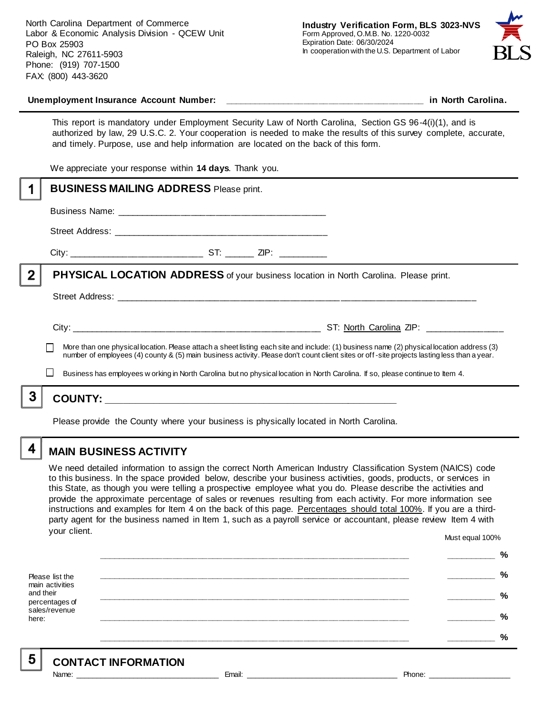North Carolina Department of Commerce Labor & Economic Analysis Division - QCEW Unit PO Box 25903 Raleigh, NC 27611-5903 Phone: (919) 707-1500 FAX: (800) 443-3620



### **Unemployment Insurance Account Number: \_\_\_\_\_\_\_\_\_\_\_\_\_\_\_\_\_\_\_\_\_\_\_\_\_\_\_\_\_\_\_\_\_\_\_\_\_\_\_\_ in North Carolina.**

This report is mandatory under Employment Security Law of North Carolina, Section GS 96-4(i)(1), and is authorized by law, 29 U.S.C. 2. Your cooperation is needed to make the results of this survey complete, accurate, and timely. Purpose, use and help information are located on the back of this form.

We appreciate your response within **14 days**. Thank you.

|   | <b>BUSINESS MAILING ADDRESS Please print.</b>                                                                                                                                                                                                                                            |  |  |  |
|---|------------------------------------------------------------------------------------------------------------------------------------------------------------------------------------------------------------------------------------------------------------------------------------------|--|--|--|
|   |                                                                                                                                                                                                                                                                                          |  |  |  |
|   |                                                                                                                                                                                                                                                                                          |  |  |  |
|   |                                                                                                                                                                                                                                                                                          |  |  |  |
| 2 | PHYSICAL LOCATION ADDRESS of your business location in North Carolina. Please print.                                                                                                                                                                                                     |  |  |  |
|   |                                                                                                                                                                                                                                                                                          |  |  |  |
|   |                                                                                                                                                                                                                                                                                          |  |  |  |
|   | More than one physical location. Please attach a sheet listing each site and include: (1) business name (2) physical location address (3)<br>number of employees (4) county & (5) main business activity. Please don't count client sites or off-site projects lasting less than a year. |  |  |  |
|   | Business has employees w orking in North Carolina but no physical location in North Carolina. If so, please continue to Item 4.                                                                                                                                                          |  |  |  |
|   |                                                                                                                                                                                                                                                                                          |  |  |  |
|   |                                                                                                                                                                                                                                                                                          |  |  |  |

Please provide the County where your business is physically located in North Carolina.

4

## **MAIN BUSINESS ACTIVITY**

We need detailed information to assign the correct North American Industry Classification System (NAICS) code to this business. In the space provided below, describe your business activities, goods, products, or services in this State, as though you were telling a prospective employee what you do. Please describe the activities and provide the approximate percentage of sales or revenues resulting from each activity. For more information see instructions and examples for Item 4 on the back of this page. Percentages should total 100%. If you are a thirdparty agent for the business named in Item 1, such as a payroll service or accountant, please review Item 4 with your client. Must equal 100%

Please list the main activities and their percentages of sales/revenue here: **\_\_\_\_\_\_\_\_\_\_\_\_\_\_\_\_\_\_\_\_\_\_\_\_\_\_\_\_\_\_\_\_\_\_\_\_\_\_\_\_\_\_\_\_\_\_\_\_\_\_\_\_\_\_\_\_\_\_\_\_\_\_ \_\_\_\_\_\_\_\_\_\_ % \_\_\_\_\_\_\_\_\_\_\_\_\_\_\_\_\_\_\_\_\_\_\_\_\_\_\_\_\_\_\_\_\_\_\_\_\_\_\_\_\_\_\_\_\_\_\_\_\_\_\_\_\_\_\_\_\_\_\_\_\_\_ \_\_\_\_\_\_\_\_\_\_ % \_\_\_\_\_\_\_\_\_\_\_\_\_\_\_\_\_\_\_\_\_\_\_\_\_\_\_\_\_\_\_\_\_\_\_\_\_\_\_\_\_\_\_\_\_\_\_\_\_\_\_\_\_\_\_\_\_\_\_\_\_\_ \_\_\_\_\_\_\_\_\_\_ % \_\_\_\_\_\_\_\_\_\_\_\_\_\_\_\_\_\_\_\_\_\_\_\_\_\_\_\_\_\_\_\_\_\_\_\_\_\_\_\_\_\_\_\_\_\_\_\_\_\_\_\_\_\_\_\_\_\_\_\_\_\_ \_\_\_\_\_\_\_\_\_\_ % \_\_\_\_\_\_\_\_\_\_\_\_\_\_\_\_\_\_\_\_\_\_\_\_\_\_\_\_\_\_\_\_\_\_\_\_\_\_\_\_\_\_\_\_\_\_\_\_\_\_\_\_\_\_\_\_\_\_\_\_\_\_ \_\_\_\_\_\_\_\_\_\_ %**

5